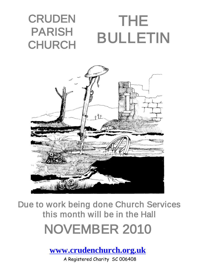



Due to work being done Church Services this month will be in the Hall NOVEMBER 2010

**[www.crudenchurch.org.uk](http://www.crudenchurch.org.uk/)**

A Registered Charity SC 006408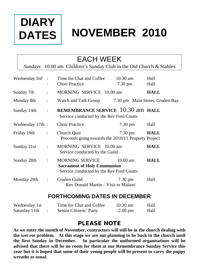# **DIARY DATES**

# **NOVEMBER 2010**

## EACH WEEK

*Sundays* 10.00 am Children's Sunday Club in the Old Church & Stables

| Wednesday 3rd : |                      | Time for Chat and Coffee<br><b>Choir Practice</b>                                                 | $10:30$ am<br>7.30 pm | Hall<br>Hall                    |
|-----------------|----------------------|---------------------------------------------------------------------------------------------------|-----------------------|---------------------------------|
| Sunday 7th      | $\ddot{\cdot}$       | MORNING SERVICE 10.00 am                                                                          |                       | <b>HALL</b>                     |
| Monday 8th      | $\ddot{\cdot}$       | Watch and Talk Group                                                                              |                       | 7.30 pm Main Street, Cruden Bay |
| Sunday 14th     | $\ddot{\cdot}$       | REMEMBRANCE SERVICE 10.30 am HALL<br>Service conducted by the Rev Fred Coutts                     |                       |                                 |
| Wednesday 17th: |                      | <b>Choir Practice</b>                                                                             | $7.30 \text{ pm}$     | Hall                            |
| Friday 19th     | $\ddot{\phantom{0}}$ | Church Quiz<br>Proceeds going towards the 2010/11 Property Project                                | 7.30 pm               | <b>HALL</b>                     |
| Sunday 21st     | $\ddot{\cdot}$       | MORNING SERVICE 10.00 am<br>Service conducted by the Guild                                        |                       | <b>HALL</b>                     |
| Sunday 28th     | $\ddot{\cdot}$       | MORNING SERVICE<br><b>Sacrament of Holy Communion</b><br>Service conducted by the Rev Fred Coutts | $10.00 \text{ am}$    | <b>HALL</b>                     |
| Monday 29th     | $\ddot{\phantom{a}}$ | Cruden Guild<br>Rev Donald Martin – Visit to Malawi                                               | 7.30 pm               | Hall                            |

### **FORTHCOMING DATES IN DECEMBER**

| Wednesday 1st | Time for Chat and Coffee | $10:30 \text{ am}$ | Hall |
|---------------|--------------------------|--------------------|------|
| Saturday 11th | Senior Citizens' Party   | $2.00 \text{ pm}$  | Hall |

### PLEASE NOTE

**As we enter the month of November, contractors will still be in the church dealing with the wet rot problem. At this stage we are not planning to be back in the church until the first Sunday in December. In particular the uniformed organisations will be advised that there will be no room for them at our Remembrance Sunday Service this year but it is hoped that some of their young people will be present to carry the poppy wreaths as usual.**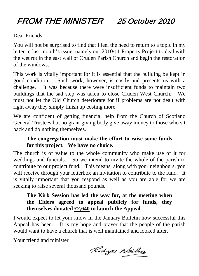# FROM THE MINISTER 25 October 2010

Dear Friends

You will not be surprised to find that I feel the need to return to a topic in my letter in last month's issue, namely our 2010/11 Property Project to deal with the wet rot in the east wall of Cruden Parish Church and begin the restoration of the windows.

This work is vitally important for it is essential that the building be kept in good condition. Such work, however, is costly and presents us with a challenge. It was because there were insufficient funds to maintain two buildings that the sad step was taken to close Cruden West Church. We must not let the Old Church deteriorate for if problems are not dealt with right away they simply finish up costing more.

We are confident of getting financial help from the Church of Scotland General Trustees but no grant giving body give away money to those who sit back and do nothing themselves.

### **The congregation must make the effort to raise some funds for this project. We have no choice.**

The church is of value to the whole community who make use of it for weddings and funerals. So we intend to invite the whole of the parish to contribute to our project fund. This means, along with your neighbours, you will receive through your letterbox an invitation to contribute to the fund. It is vitally important that you respond as well as you are able for we are seeking to raise several thousand pounds.

### **The Kirk Session has led the way for, at the meeting when the Elders agreed to appeal publicly for funds, they themselves donated £2,640 to launch the Appeal.**

I would expect to let your know in the January Bulletin how successful this Appeal has been. It is my hope and prayer that the people of the parish would want to have a church that is well maintained and looked after.

Your friend and minister

Rodges Neilson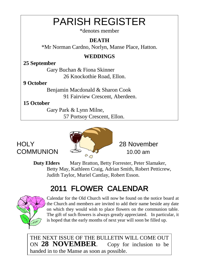# PARISH REGISTER

\*denotes member

### **DEATH**

\*Mr Norman Cardno, Norlyn, Manse Place, Hatton.

### **WEDDINGS**

### **25 September**

Gary Buchan & Fiona Skinner 26 Knockothie Road, Ellon.

### **9 October**

Benjamin Macdonald & Sharon Cook 91 Fairview Crescent, Aberdeen.

### **15 October**

Gary Park & Lynn Milne,

57 Portsoy Crescent, Ellon.

# HOLY 28 November



**Duty Elders** Mary Bratton, Betty Forrester, Peter Slamaker, Betty May, Kathleen Craig, Adrian Smith, Robert Petticrew, Judith Taylor, Muriel Cantlay, Robert Esson.

# 2011 FLOWER CALENDAR



Calendar for the Old Church will now be found on the notice board at the Church and members are invited to add their name beside any date on which they would wish to place flowers on the communion table. The gift of such flowers is always greatly appreciated. In particular, it is hoped that the early months of next year will soon be filled up.

THE NEXT ISSUE OF THE BULLETIN WILL COME OUT ON **28 NOVEMBER**. Copy for inclusion to be handed in to the Manse as soon as possible.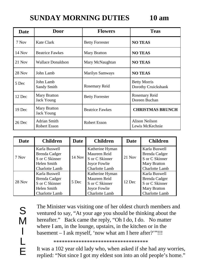## **SUNDAY MORNING DUTIES 10 am**

| Date     | Door                         | <b>Flowers</b>         | <b>Teas</b>                                |
|----------|------------------------------|------------------------|--------------------------------------------|
| 7 Nov    | Kate Clark                   | <b>Betty Forrester</b> | <b>NO TEAS</b>                             |
| $14$ Nov | <b>Beatrice Fawkes</b>       | Mary Bratton           | <b>NO TEAS</b>                             |
| $21$ Nov | <b>Wallace Donaldson</b>     | Mary McNaughtan        | <b>NO TEAS</b>                             |
| $28$ Nov | John Lamb                    | Marilyn Samways        | <b>NO TEAS</b>                             |
| 5 Dec    | John Lamb<br>Sandy Smith     | Rosemary Reid          | <b>Betty Morris</b><br>Dorothy Cruickshank |
| 12 Dec   | Mary Bratton<br>Jack Young   | <b>Betty Forrester</b> | Rosemary Reid<br>Doreen Buchan             |
| 19 Dec   | Mary Bratton<br>Jack Young   | <b>Beatrice Fawkes</b> | <b>CHRISTMAS BRUNCH</b>                    |
| $26$ Dec | Adrian Smith<br>Robert Esson | Robert Esson           | <b>Alison Neilson</b><br>Lewis McKechnie   |

| Date     | <b>Children</b>                                                                   | Date   | <b>Children</b>                                                                     | Date   | <b>Children</b>                                                                    |
|----------|-----------------------------------------------------------------------------------|--------|-------------------------------------------------------------------------------------|--------|------------------------------------------------------------------------------------|
| 7 Nov    | Karla Buswell<br>Brenda Cadger<br>S or C Skinner<br>Helen Smith<br>Charlotte Lamb | 14 Nov | Katherine Hyman<br>Maureen Reid<br>S or C Skinner<br>Joyce Fowlie<br>Charlotte Lamb | 21 Nov | Karla Buswell<br>Brenda Cadger<br>S or C Skinner<br>Mary Bratton<br>Charlotte Lamb |
| $28$ Nov | Karla Buswell<br>Brenda Cadger<br>S or C Skinner<br>Helen Smith<br>Charlotte Lamb | 5 Dec  | Katherine Hyman<br>Maureen Reid<br>S or C Skinner<br>Joyce Fowlie<br>Charlotte Lamb | 12 Dec | Karla Buswell<br>Brenda Cadger<br>S or C Skinner<br>Mary Bratton<br>Charlotte Lamb |

The Minister was visiting one of her oldest church members and ventured to say, "At your age you should be thinking about the hereafter." Back came the reply, "Oh I do, I do. No matter where I am, in the lounge, upstairs, in the kitchen or in the basement – I ask myself, 'now what am I here after?'"!!!

\*\*\*\*\*\*\*\*\*\*\*\*\*\*\*\*\*\*\*\*\*\*\*\*\*\*\*\*\*\*\*\*\*\*

It was a 102 year old lady who, when asked if she had any worries, replied: "Not since I got my eldest son into an old people's home."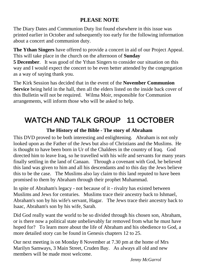### **PLEASE NOTE**

The Diary Dates and Communion Duty list found elsewhere in this issue was printed earlier in October and subsequently too early for the following information about a concert and communion duty.

**The Ythan Singers** have offered to provide a concert in aid of our Project Appeal. This will take place in the church on the afternoon of **Sunday** 

**5 December**. It was good of the Ythan Singers to consider our situation on this way and I would expect the concert to be even better attended by the congregation as a way of saying thank you.

The Kirk Session has decided that in the event of the **November Communion Service** being held in the hall, then all the elders listed on the inside back cover of this Bulletin will not be required. Wilma Moir, responsible for Communion arrangements, will inform those who will be asked to help.

# WATCH AND TALK GROUP 11 OCTOBER

#### **The History of the Bible - The story of Abraham**

This DVD proved to be both interesting and enlightening. Abraham is not only looked upon as the Father of the Jews but also of Christians and the Muslims. He is thought to have been born in Ur of the Chaldees in the country of Iraq. God directed him to leave Iraq, so he travelled with his wife and servants for many years finally settling in the land of Canaan. Through a covenant with God, he believed this land was given to him and all his descendants and to this day the Jews believe this to be the case. The Muslims also lay claim to this land reputed to have been promised to them by Abraham through their prophet Muhammad.

In spite of Abraham's legacy - not because of it - rivalry has existed between Muslims and Jews for centuries. Muslims trace their ancestry back to Ishmael, Abraham's son by his wife's servant, Hagar. The Jews trace their ancestry back to Isaac, Abraham's son by his wife, Sarah.

Did God really want the world to be so divided through his chosen son, Abraham, or is there now a political state unbelievably far removed from what he must have hoped for? To learn more about the life of Abraham and his obedience to God, a more detailed story can be found in Genesis chapters 12 to 25.

Our next meeting is on Monday 8 November at 7.30 pm at the home of Mrs Marilyn Samways, 3 Main Street, Cruden Bay. As always all old and new members will be made most welcome.

*Jenny McGarrol*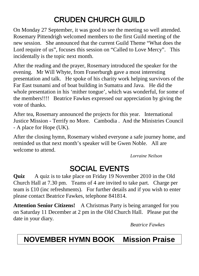# CRUDEN CHURCH GUILD

On Monday 27 September, it was good to see the meeting so well attended. Rosemary Pittendrigh welcomed members to the first Guild meeting of the new session. She announced that the current Guild Theme "What does the Lord require of us", focuses this session on "Called to Love Mercy". This incidentally is the topic next month.

After the reading and the prayer, Rosemary introduced the speaker for the evening. Mr Will Whyte, from Fraserburgh gave a most interesting presentation and talk. He spoke of his charity work helping survivors of the Far East tsunami and of boat building in Sumatra and Java. He did the whole presentation in his 'mither tongue', which was wonderful, for some of the members!!!! Beatrice Fawkes expressed our appreciation by giving the vote of thanks.

After tea, Rosemary announced the projects for this year. International Justice Mission - Terrify no More. Cambodia . And the Ministries Council - A place for Hope (UK).

After the closing hymn, Rosemary wished everyone a safe journey home, and reminded us that next month's speaker will be Gwen Noble. All are welcome to attend.

*Lorraine Neilson* 

## SOCIAL EVENTS

**Quiz** A quiz is to take place on Friday 19 November 2010 in the Old Church Hall at 7.30 pm. Teams of 4 are invited to take part. Charge per team is £10 (inc refreshments). For further details and if you wish to enter please contact Beatrice Fawkes, telephone 841814.

**Attention Senior Citizens!** A Christmas Party is being arranged for you on Saturday 11 December at 2 pm in the Old Church Hall. Please put the date in your diary.

*Beatrice Fawkes*

## **NOVEMBER HYMN BOOK Mission Praise**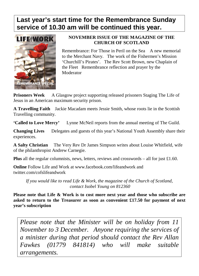### **Last year's start time for the Remembrance Sunday service of 10.30 am will be continued this year.**



#### **NOVEMBER ISSUE OF THE MAGAZINE OF THE CHURCH OF SCOTLAND**

Remembrance: For Those in Peril on the Sea A new memorial to the Merchant Navy. The work of the Fishermen's Mission 'Churchill's Pirates'. The Rev Scott Brown, new Chaplain of the Fleet Remembrance reflection and prayer by the Moderator

**Prisoners Week** A Glasgow project supporting released prisoners Staging The Life of Jesus in an American maximum security prison.

**A Travelling Faith** Jackie Macadam meets Jessie Smith, whose roots lie in the Scottish Travelling community.

**'Called to Love Mercy'** Lynne McNeil reports from the annual meeting of The Guild.

**Changing Lives** Delegates and guests of this year's National Youth Assembly share their experiences.

**A Salty Christian** The Very Rev Dr James Simpson writes about Louise Whitfield, wife of the philanthropist Andrew Carnegie.

**Plus** all the regular columnists, news, letters, reviews and crosswords – all for just £1.60.

**Online** Follow Life and Work at www.facebook.com/lifeandwork and twitter.com/cofslifeandwork

*If you would like to read Life & Work, the magazine of the Church of Scotland, contact Isobel Young on 812360*

**Please note that Life & Work is to cost more next year and those who subscribe are asked to return to the Treasurer as soon as convenient £17.50 for payment of next year's subscription**

*Please note that the Minister will be on holiday from 11 November to 3 December. Anyone requiring the services of a minister during that period should contact the Rev Allan Fawkes (01779 841814) who will make suitable arrangements.*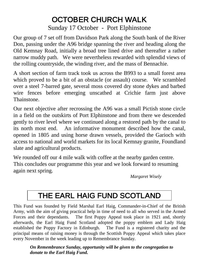### OCTOBER CHURCH WALK Sunday 17 October - Port Elphinstone

Our group of 7 set off from Davidson Park along the South bank of the River Don, passing under the A96 bridge spanning the river and heading along the Old Kemnay Road, initially a broad tree lined drive and thereafter a rather narrow muddy path. We were nevertheless rewarded with splendid views of the rolling countryside, the winding river, and the mass of Bennachie.

A short section of farm track took us across the B993 to a small forest area which proved to be a bit of an obstacle (or assault) course. We scrambled over a steel 7-barred gate, several moss covered dry stone dykes and barbed wire fences before emerging unscathed at Crichie farm just above **Thainstone** 

Our next objective after recrossing the A96 was a small Pictish stone circle in a field on the outskirts of Port Elphinstone and from there we descended gently to river level where we continued along a restored path by the canal to its north most end. An informative monument described how the canal, opened in 1805 and using horse drawn vessels, provided the Garioch with access to national and world markets for its local Kemnay granite, Foundland slate and agricultural products.

We rounded off our 4 mile walk with coffee at the nearby garden centre. This concludes our programme this year and we look forward to resuming again next spring.

 *Margaret Wisely*

# THE EARL HAIG FUND SCOTLAND

This Fund was founded by Field Marshal Earl Haig, Commander-in-Chief of the British Army, with the aim of giving practical help in time of need to all who served in the Armed Forces and their dependants. The first Poppy Appeal took place in 1921 and, shortly afterwards, the Earl Haig Fund Scotland adopted the poppy emblem and Lady Haig established the Poppy Factory in Edinburgh. The Fund is a registered charity and the principal means of raising money is through the Scottish Poppy Appeal which takes place every November in the week leading up to Remembrance Sunday.

*On Remembrance Sunday, opportunity will be given to the congregation to donate to the Earl Haig Fund.*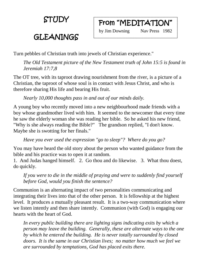STUDY

## GLEANINGS



Turn pebbles of Christian truth into jewels of Christian experience."

*The Old Testament picture of the New Testament truth of John 15:5 is found in Jeremiah 17:7,8*

The OT tree, with its taproot drawing nourishment from the river, is a picture of a Christian, the taproot of whose soul is in contact with Jesus Christ, and who is therefore sharing His life and bearing His fruit.

*Nearly 10,000 thoughts pass in and out of our minds daily.*

A young boy who recently moved into a new neighbourhood made friends with a boy whose grandmother lived with him. It seemed to the newcomer that every time he saw the elderly woman she was reading her bible. So he asked his new friend, "Why is she always reading the Bible?" The grandson replied, "I don't know. Maybe she is swotting for her finals."

*Have you ever used the expression "go to sleep"? Where do you go?*

You may have heard the old story about the person who wanted guidance from the bible and his practice was to open it at random.

1. And Judas hanged himself. 2. Go thou and do likewise. 3. What thou doest, do quickly.

*If you were to die in the middle of praying and were to suddenly find yourself before God, would you finish the sentence?*

Communion is an alternating impact of two personalities communicating and integrating their lives into that of the other person. It is fellowship at the highest level. It produces a mutually pleasant result. It is a two-way communication where we listen intently and then share intently. Communion (with God) is engaging our hearts with the heart of God.

*In every public building there are lighting signs indicating exits by which a person may leave the building. Generally, these are alternate ways to the one by which he entered the building. He is never totally surrounded by closed doors. It is the same in our Christian lives; no matter how much we feel we are surrounded by temptations, God has placed exits there.*